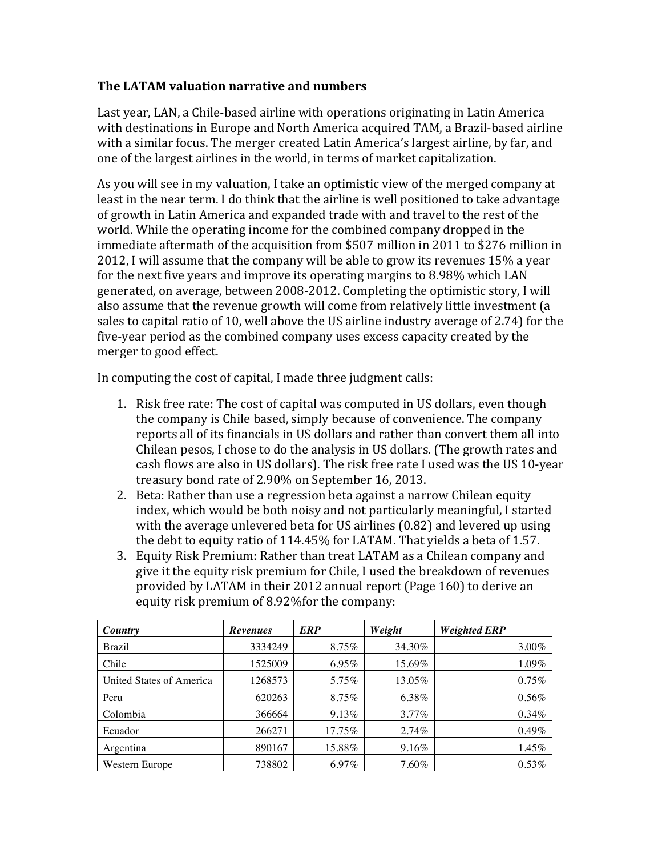## **The LATAM valuation narrative and numbers**

Last year, LAN, a Chile-based airline with operations originating in Latin America with destinations in Europe and North America acquired TAM, a Brazil-based airline with a similar focus. The merger created Latin America's largest airline, by far, and one of the largest airlines in the world, in terms of market capitalization.

As you will see in my valuation, I take an optimistic view of the merged company at least in the near term. I do think that the airline is well positioned to take advantage of growth in Latin America and expanded trade with and travel to the rest of the world. While the operating income for the combined company dropped in the immediate aftermath of the acquisition from \$507 million in 2011 to \$276 million in 2012, I will assume that the company will be able to grow its revenues 15% a year for the next five years and improve its operating margins to  $8.98\%$  which LAN generated, on average, between 2008-2012. Completing the optimistic story, I will also assume that the revenue growth will come from relatively little investment (a sales to capital ratio of 10, well above the US airline industry average of 2.74) for the five-year period as the combined company uses excess capacity created by the merger to good effect.

In computing the cost of capital, I made three judgment calls:

- 1. Risk free rate: The cost of capital was computed in US dollars, even though the company is Chile based, simply because of convenience. The company reports all of its financials in US dollars and rather than convert them all into Chilean pesos, I chose to do the analysis in US dollars. (The growth rates and cash flows are also in US dollars). The risk free rate I used was the US 10-year treasury bond rate of 2.90% on September 16, 2013.
- 2. Beta: Rather than use a regression beta against a narrow Chilean equity index, which would be both noisy and not particularly meaningful, I started with the average unlevered beta for US airlines  $(0.82)$  and levered up using the debt to equity ratio of  $114.45\%$  for LATAM. That yields a beta of 1.57.
- 3. Equity Risk Premium: Rather than treat LATAM as a Chilean company and give it the equity risk premium for Chile, I used the breakdown of revenues provided by LATAM in their 2012 annual report (Page 160) to derive an equity risk premium of 8.92% for the company:

| Country                  | <b>Revenues</b> | <b>ERP</b> | Weight   | <b>Weighted ERP</b> |
|--------------------------|-----------------|------------|----------|---------------------|
| <b>Brazil</b>            | 3334249         | 8.75%      | 34.30%   | $3.00\%$            |
| Chile                    | 1525009         | 6.95%      | 15.69%   | 1.09%               |
| United States of America | 1268573         | 5.75%      | 13.05%   | 0.75%               |
| Peru                     | 620263          | 8.75%      | 6.38%    | $0.56\%$            |
| Colombia                 | 366664          | 9.13%      | $3.77\%$ | $0.34\%$            |
| Ecuador                  | 266271          | 17.75%     | 2.74%    | $0.49\%$            |
| Argentina                | 890167          | 15.88%     | 9.16%    | 1.45%               |
| Western Europe           | 738802          | 6.97%      | 7.60%    | $0.53\%$            |